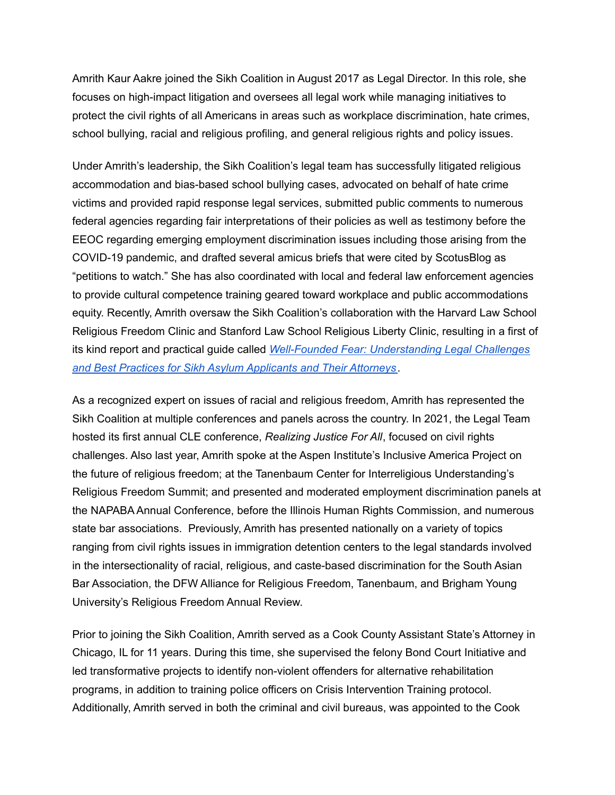Amrith Kaur Aakre joined the Sikh Coalition in August 2017 as Legal Director. In this role, she focuses on high-impact litigation and oversees all legal work while managing initiatives to protect the civil rights of all Americans in areas such as workplace discrimination, hate crimes, school bullying, racial and religious profiling, and general religious rights and policy issues.

Under Amrith's leadership, the Sikh Coalition's legal team has successfully litigated religious accommodation and bias-based school bullying cases, advocated on behalf of hate crime victims and provided rapid response legal services, submitted public comments to numerous federal agencies regarding fair interpretations of their policies as well as testimony before the EEOC regarding emerging employment discrimination issues including those arising from the COVID-19 pandemic, and drafted several amicus briefs that were cited by ScotusBlog as "petitions to watch." She has also coordinated with local and federal law enforcement agencies to provide cultural competence training geared toward workplace and public accommodations equity. Recently, Amrith oversaw the Sikh Coalition's collaboration with the Harvard Law School Religious Freedom Clinic and Stanford Law School Religious Liberty Clinic, resulting in a first of its kind report and practical guide called *Well-Founded Fear: [Understanding](https://www.sikhcoalition.org/wp-content/uploads/2021/10/2021.11.01-asylum-report.pdf) Legal Challenges and Best Practices for Sikh Asylum [Applicants](https://www.sikhcoalition.org/wp-content/uploads/2021/10/2021.11.01-asylum-report.pdf) and Their Attorneys*.

As a recognized expert on issues of racial and religious freedom, Amrith has represented the Sikh Coalition at multiple conferences and panels across the country. In 2021, the Legal Team hosted its first annual CLE conference, *Realizing Justice For All*, focused on civil rights challenges. Also last year, Amrith spoke at the Aspen Institute's Inclusive America Project on the future of religious freedom; at the Tanenbaum Center for Interreligious Understanding's Religious Freedom Summit; and presented and moderated employment discrimination panels at the NAPABA Annual Conference, before the Illinois Human Rights Commission, and numerous state bar associations. Previously, Amrith has presented nationally on a variety of topics ranging from civil rights issues in immigration detention centers to the legal standards involved in the intersectionality of racial, religious, and caste-based discrimination for the South Asian Bar Association, the DFW Alliance for Religious Freedom, Tanenbaum, and Brigham Young University's Religious Freedom Annual Review.

Prior to joining the Sikh Coalition, Amrith served as a Cook County Assistant State's Attorney in Chicago, IL for 11 years. During this time, she supervised the felony Bond Court Initiative and led transformative projects to identify non-violent offenders for alternative rehabilitation programs, in addition to training police officers on Crisis Intervention Training protocol. Additionally, Amrith served in both the criminal and civil bureaus, was appointed to the Cook